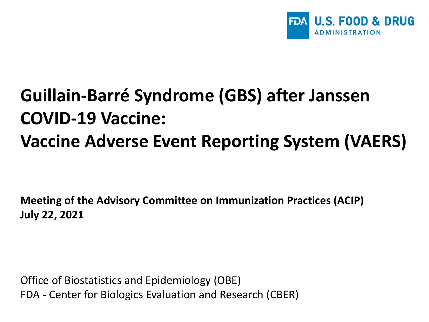

## **Guillain-Barré Syndrome (GBS) after Janssen COVID-19 Vaccine: Vaccine Adverse Event Reporting System (VAERS)**

**Meeting of the Advisory Committee on Immunization Practices (ACIP) July 22, 2021**

Office of Biostatistics and Epidemiology (OBE) FDA - Center for Biologics Evaluation and Research (CBER)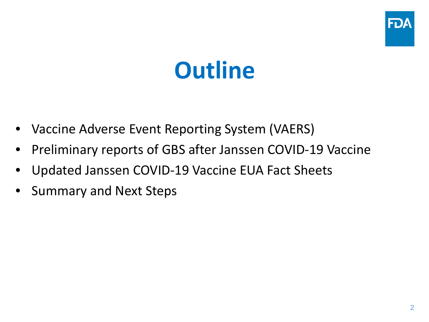

# **Outline**

- Vaccine Adverse Event Reporting System (VAERS)
- Preliminary reports of GBS after Janssen COVID-19 Vaccine
- Updated Janssen COVID-19 Vaccine EUA Fact Sheets
- Summary and Next Steps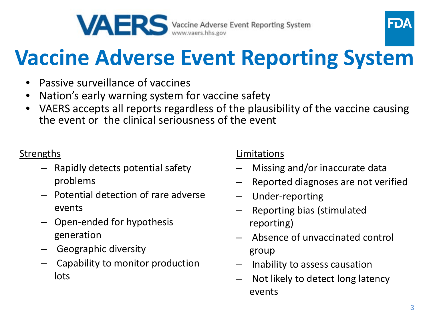



# **Vaccine Adverse Event Reporting System**

- Passive surveillance of vaccines
- Nation's early warning system for vaccine safety
- VAERS accepts all reports regardless of the plausibility of the vaccine causing the event or the clinical seriousness of the event

#### **Strengths**

- Rapidly detects potential safety problems
- Potential detection of rare adverse events
- Open-ended for hypothesis generation
- Geographic diversity
- Capability to monitor production lots

#### Limitations

- Missing and/or inaccurate data
- Reported diagnoses are not verified
- Under-reporting
- Reporting bias (stimulated reporting)
- Absence of unvaccinated control group
- Inability to assess causation
- Not likely to detect long latency events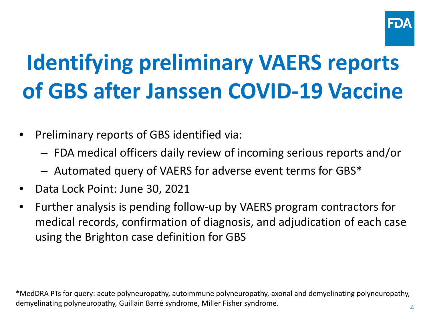

# **Identifying preliminary VAERS reports of GBS after Janssen COVID-19 Vaccine**

- Preliminary reports of GBS identified via:
	- FDA medical officers daily review of incoming serious reports and/or
	- Automated query of VAERS for adverse event terms for GBS\*
- Data Lock Point: June 30, 2021
- Further analysis is pending follow-up by VAERS program contractors for medical records, confirmation of diagnosis, and adjudication of each case using the Brighton case definition for GBS

\*MedDRA PTs for query: acute polyneuropathy, autoimmune polyneuropathy, axonal and demyelinating polyneuropathy, demyelinating polyneuropathy, Guillain Barré syndrome, Miller Fisher syndrome.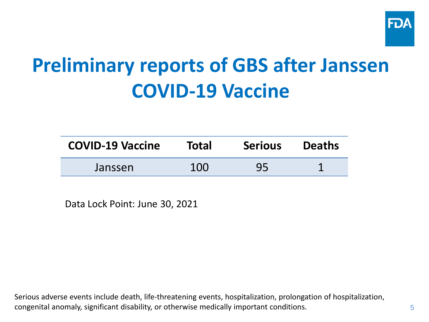

## **Preliminary reports of GBS after Janssen COVID-19 Vaccine**

| <b>COVID-19 Vaccine</b> | <b>Total</b> | <b>Serious</b> | <b>Deaths</b> |
|-------------------------|--------------|----------------|---------------|
| Janssen                 | 100          | 95             |               |

Data Lock Point: June 30, 2021

Serious adverse events include death, life-threatening events, hospitalization, prolongation of hospitalization, congenital anomaly, significant disability, or otherwise medically important conditions.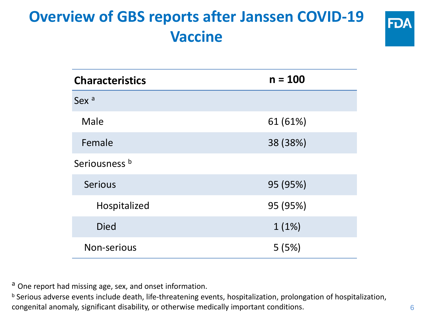### **Overview of GBS reports after Janssen COVID-19 Vaccine**



| <b>Characteristics</b> | $n = 100$ |  |  |  |
|------------------------|-----------|--|--|--|
| Sex <sup>a</sup>       |           |  |  |  |
| Male                   | 61 (61%)  |  |  |  |
| Female                 | 38 (38%)  |  |  |  |
| Seriousness b          |           |  |  |  |
| <b>Serious</b>         | 95 (95%)  |  |  |  |
| Hospitalized           | 95 (95%)  |  |  |  |
| <b>Died</b>            | 1(1%)     |  |  |  |
| Non-serious            | 5(5%)     |  |  |  |

a One report had missing age, sex, and onset information.

b Serious adverse events include death, life-threatening events, hospitalization, prolongation of hospitalization, congenital anomaly, significant disability, or otherwise medically important conditions.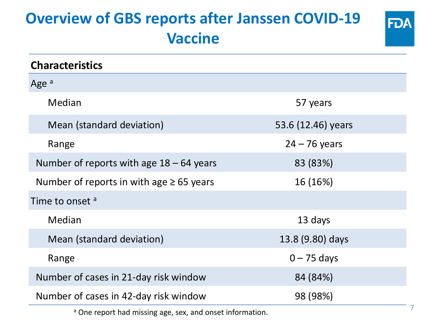### **Overview of GBS reports after Janssen COVID-19 Vaccine**

| <b>Characteristics</b>                        |                    |  |  |  |
|-----------------------------------------------|--------------------|--|--|--|
| Age <sup>a</sup>                              |                    |  |  |  |
| Median                                        | 57 years           |  |  |  |
| Mean (standard deviation)                     | 53.6 (12.46) years |  |  |  |
| Range                                         | $24 - 76$ years    |  |  |  |
| Number of reports with age $18 - 64$ years    | 83 (83%)           |  |  |  |
| Number of reports in with age $\geq 65$ years | 16 (16%)           |  |  |  |
| Time to onset <sup>a</sup>                    |                    |  |  |  |
| Median                                        | 13 days            |  |  |  |
| Mean (standard deviation)                     | 13.8 (9.80) days   |  |  |  |
| Range                                         | $0 - 75$ days      |  |  |  |
| Number of cases in 21-day risk window         | 84 (84%)           |  |  |  |
| Number of cases in 42-day risk window         | 98 (98%)           |  |  |  |

a One report had missing age, sex, and onset information.

**FDA**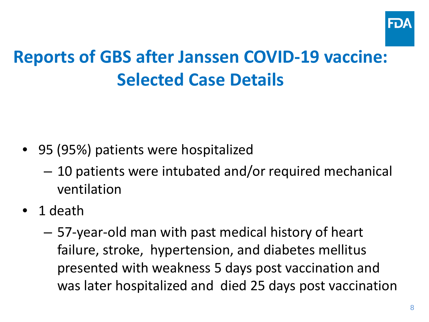

## **Reports of GBS after Janssen COVID-19 vaccine: Selected Case Details**

- 95 (95%) patients were hospitalized
	- 10 patients were intubated and/or required mechanical ventilation
- 1 death
	- 57-year-old man with past medical history of heart failure, stroke, hypertension, and diabetes mellitus presented with weakness 5 days post vaccination and was later hospitalized and died 25 days post vaccination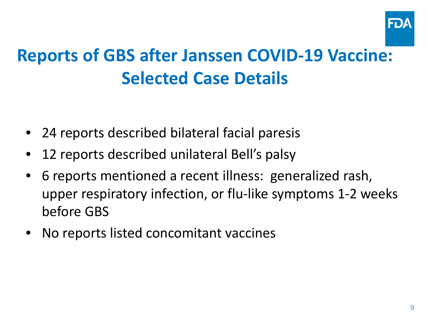

## **Reports of GBS after Janssen COVID-19 Vaccine: Selected Case Details**

- 24 reports described bilateral facial paresis
- 12 reports described unilateral Bell's palsy
- $\bullet$ 6 reports mentioned a recent illness: generalized rash, upper respiratory infection, or flu-like symptoms 1-2 weeks before GBS
- No reports listed concomitant vaccines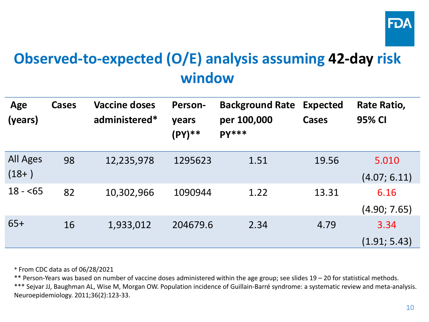

### **Observed-to-expected (O/E) analysis assuming 42-day risk window**

| Age<br>(years)      | Cases | <b>Vaccine doses</b><br>administered* | Person-<br>years<br>(PY)** | <b>Background Rate</b><br>per 100,000<br><b>PY***</b> | <b>Expected</b><br><b>Cases</b> | Rate Ratio,<br>95% CI |
|---------------------|-------|---------------------------------------|----------------------------|-------------------------------------------------------|---------------------------------|-----------------------|
| All Ages<br>$(18+)$ | 98    | 12,235,978                            | 1295623                    | 1.51                                                  | 19.56                           | 5.010<br>(4.07; 6.11) |
| $18 - 65$           | 82    | 10,302,966                            | 1090944                    | 1.22                                                  | 13.31                           | 6.16<br>(4.90; 7.65)  |
| $65+$               | 16    | 1,933,012                             | 204679.6                   | 2.34                                                  | 4.79                            | 3.34<br>(1.91; 5.43)  |

\* From CDC data as of 06/28/2021

\*\* Person-Years was based on number of vaccine doses administered within the age group; see slides 19 – 20 for statistical methods.

\*\*\* Sejvar JJ, Baughman AL, Wise M, Morgan OW. Population incidence of Guillain-Barré syndrome: a systematic review and meta-analysis. Neuroepidemiology. 2011;36(2):123-33.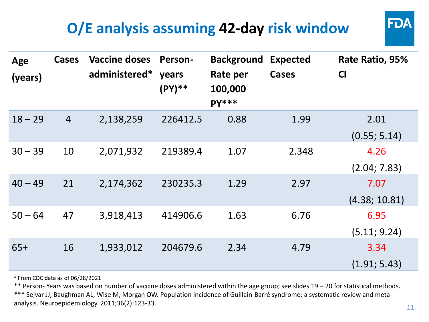### **O/E analysis assuming 42-day risk window**

| Age<br>(years) | <b>Cases</b>   | <b>Vaccine doses</b><br>administered* | <b>Person-</b><br>years<br>(PY) ** | <b>Background</b><br>Rate per<br>100,000<br><b>PY***</b> | <b>Expected</b><br><b>Cases</b> | Rate Ratio, 95%<br><b>CI</b> |
|----------------|----------------|---------------------------------------|------------------------------------|----------------------------------------------------------|---------------------------------|------------------------------|
| $18 - 29$      | $\overline{4}$ | 2,138,259                             | 226412.5                           | 0.88                                                     | 1.99                            | 2.01                         |
|                |                |                                       |                                    |                                                          |                                 | (0.55; 5.14)                 |
| $30 - 39$      | 10             | 2,071,932                             | 219389.4                           | 1.07                                                     | 2.348                           | 4.26                         |
|                |                |                                       |                                    |                                                          |                                 | (2.04; 7.83)                 |
| $40 - 49$      | 21             | 2,174,362                             | 230235.3                           | 1.29                                                     | 2.97                            | 7.07                         |
|                |                |                                       |                                    |                                                          |                                 | (4.38; 10.81)                |
| $50 - 64$      | 47             | 3,918,413                             | 414906.6                           | 1.63                                                     | 6.76                            | 6.95                         |
|                |                |                                       |                                    |                                                          |                                 | (5.11; 9.24)                 |
| $65+$          | 16             | 1,933,012                             | 204679.6                           | 2.34                                                     | 4.79                            | 3.34                         |
|                |                |                                       |                                    |                                                          |                                 | (1.91; 5.43)                 |

\* From CDC data as of 06/28/2021

\*\* Person- Years was based on number of vaccine doses administered within the age group; see slides 19 – 20 for statistical methods.

\*\*\* Sejvar JJ, Baughman AL, Wise M, Morgan OW. Population incidence of Guillain-Barré syndrome: a systematic review and metaanalysis. Neuroepidemiology. 2011;36(2):123-33.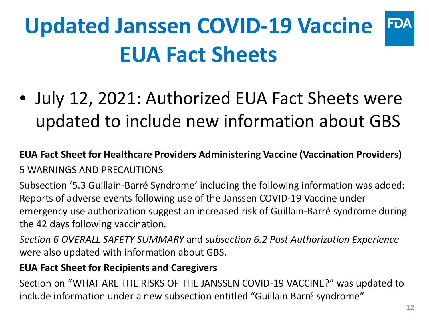### **Updated Janssen COVID-19 Vaccine FDA EUA Fact Sheets**

• July 12, 2021: Authorized EUA Fact Sheets were updated to include new information about GBS

**EUA Fact Sheet for Healthcare Providers Administering Vaccine (Vaccination Providers)** 5 WARNINGS AND PRECAUTIONS

Subsection '5.3 Guillain-Barré Syndrome' including the following information was added: Reports of adverse events following use of the Janssen COVID-19 Vaccine under emergency use authorization suggest an increased risk of Guillain-Barré syndrome during the 42 days following vaccination.

*Section 6 OVERALL SAFETY SUMMARY* and *subsection 6.2 Post Authorization Experience*  were also updated with information about GBS.

#### **EUA Fact Sheet for Recipients and Caregivers**

Section on "WHAT ARE THE RISKS OF THE JANSSEN COVID-19 VACCINE?" was updated to include information under a new subsection entitled "Guillain Barré syndrome"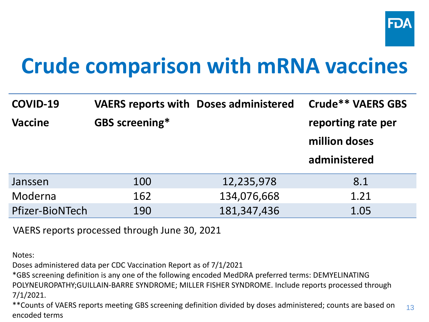

## **Crude comparison with mRNA vaccines**

| <b>COVID-19</b> |                       | <b>VAERS reports with Doses administered</b> | <b>Crude** VAERS GBS</b>                            |
|-----------------|-----------------------|----------------------------------------------|-----------------------------------------------------|
| <b>Vaccine</b>  | <b>GBS screening*</b> |                                              | reporting rate per<br>million doses<br>administered |
| Janssen         | 100                   | 12,235,978                                   | 8.1                                                 |
| Moderna         | 162                   | 134,076,668                                  | 1.21                                                |
| Pfizer-BioNTech | 190                   | 181, 347, 436                                | 1.05                                                |

VAERS reports processed through June 30, 2021

Notes:

Doses administered data per CDC Vaccination Report as of 7/1/2021

\*GBS screening definition is any one of the following encoded MedDRA preferred terms: DEMYELINATING POLYNEUROPATHY;GUILLAIN-BARRE SYNDROME; MILLER FISHER SYNDROME. Include reports processed through 7/1/2021.

13 \*\*Counts of VAERS reports meeting GBS screening definition divided by doses administered; counts are based on encoded terms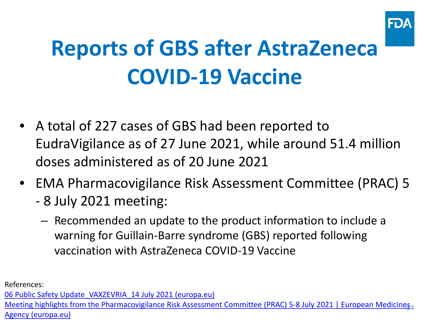

# **Reports of GBS after AstraZeneca COVID-19 Vaccine**

- A total of 227 cases of GBS had been reported to EudraVigilance as of 27 June 2021, while around 51.4 million doses administered as of 20 June 2021
- EMA Pharmacovigilance Risk Assessment Committee (PRAC) 5 - 8 July 2021 meeting:
	- Recommended an update to the product information to include a warning for Guillain-Barre syndrome (GBS) reported following vaccination with AstraZeneca COVID-19 Vaccine

References:

[06 Public Safety Update\\_VAXZEVRIA\\_14 July 2021 \(europa.eu\)](https://www.ema.europa.eu/en/documents/covid-19-vaccine-safety-update/covid-19-vaccine-safety-update-vaxzevria-previously-covid-19-vaccine-astrazeneca-14-july-2021_en.pdf)

Meeting highlights from the Pharmacovigilance Risk Assessment Committee (PRAC) 5-8 July 2021 | European Medicines<sub>4</sub> Agency (europa.eu)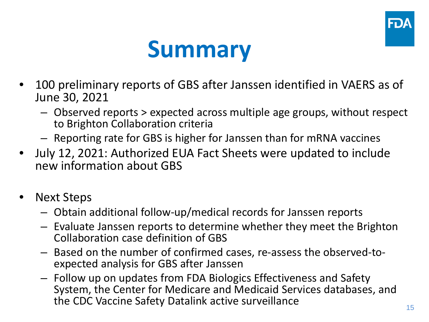



- 100 preliminary reports of GBS after Janssen identified in VAERS as of June 30, 2021
	- Observed reports > expected across multiple age groups, without respect to Brighton Collaboration criteria
	- Reporting rate for GBS is higher for Janssen than for mRNA vaccines
- July 12, 2021: Authorized EUA Fact Sheets were updated to include new information about GBS
- Next Steps
	- Obtain additional follow-up/medical records for Janssen reports
	- Evaluate Janssen reports to determine whether they meet the Brighton Collaboration case definition of GBS
	- Based on the number of confirmed cases, re-assess the observed-to- expected analysis for GBS after Janssen
	- Follow up on updates from FDA Biologics Effectiveness and Safety System, the Center for Medicare and Medicaid Services databases, and the CDC Vaccine Safety Datalink active surveillance